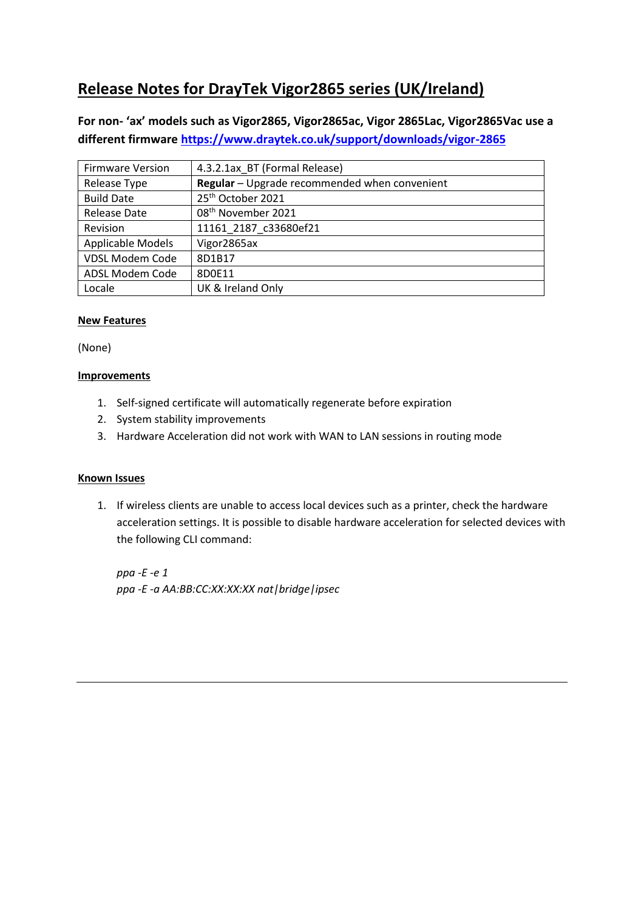# **Release Notes for DrayTek Vigor2865 series (UK/Ireland)**

**For non- 'ax' models such as Vigor2865, Vigor2865ac, Vigor 2865Lac, Vigor2865Vac use a different firmware <https://www.draytek.co.uk/support/downloads/vigor-2865>**

| <b>Firmware Version</b> | 4.3.2.1ax BT (Formal Release)                 |
|-------------------------|-----------------------------------------------|
| Release Type            | Regular - Upgrade recommended when convenient |
| <b>Build Date</b>       | 25 <sup>th</sup> October 2021                 |
| Release Date            | 08 <sup>th</sup> November 2021                |
| Revision                | 11161 2187 c33680ef21                         |
| Applicable Models       | Vigor2865ax                                   |
| <b>VDSL Modem Code</b>  | 8D1B17                                        |
| ADSL Modem Code         | 8D0E11                                        |
| Locale                  | UK & Ireland Only                             |

# **New Features**

(None)

## **Improvements**

- 1. Self-signed certificate will automatically regenerate before expiration
- 2. System stability improvements
- 3. Hardware Acceleration did not work with WAN to LAN sessions in routing mode

#### **Known Issues**

1. If wireless clients are unable to access local devices such as a printer, check the hardware acceleration settings. It is possible to disable hardware acceleration for selected devices with the following CLI command:

*ppa -E -e 1 ppa -E -a AA:BB:CC:XX:XX:XX nat|bridge|ipsec*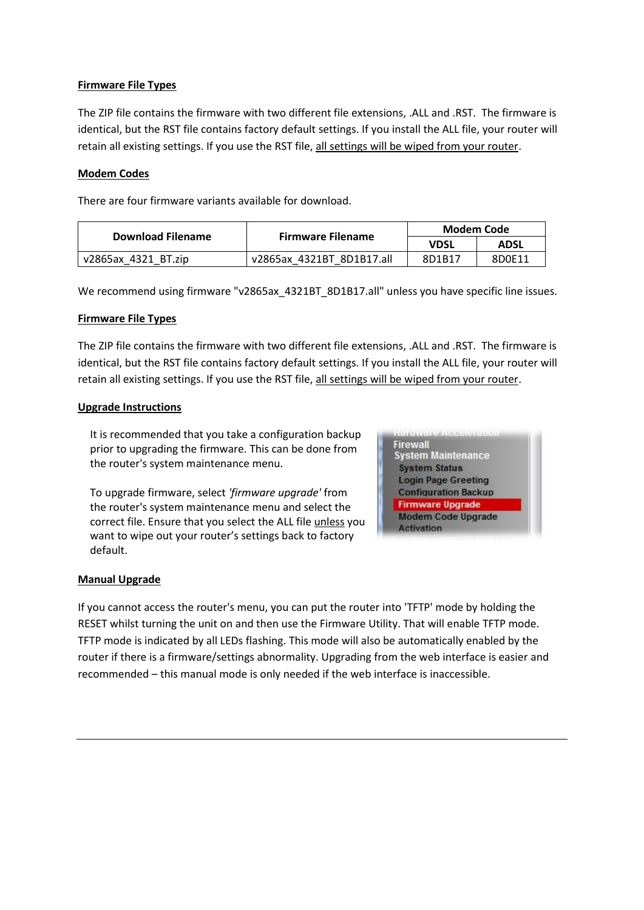## **Firmware File Types**

The ZIP file contains the firmware with two different file extensions, .ALL and .RST. The firmware is identical, but the RST file contains factory default settings. If you install the ALL file, your router will retain all existing settings. If you use the RST file, all settings will be wiped from your router.

#### **Modem Codes**

There are four firmware variants available for download.

| Download Filename   |                           | Modem Code |             |
|---------------------|---------------------------|------------|-------------|
|                     | <b>Firmware Filename</b>  | VDSL       | <b>ADSL</b> |
| v2865ax 4321 BT.zip | v2865ax 4321BT 8D1B17.all | 8D1B17     | 8D0E11      |

We recommend using firmware "v2865ax 4321BT\_8D1B17.all" unless you have specific line issues.

#### **Firmware File Types**

The ZIP file contains the firmware with two different file extensions, .ALL and .RST. The firmware is identical, but the RST file contains factory default settings. If you install the ALL file, your router will retain all existing settings. If you use the RST file, all settings will be wiped from your router.

#### **Upgrade Instructions**

It is recommended that you take a configuration backup prior to upgrading the firmware. This can be done from the router's system maintenance menu.

To upgrade firmware, select *'firmware upgrade'* from the router's system maintenance menu and select the correct file. Ensure that you select the ALL file unless you want to wipe out your router's settings back to factory default.



#### **Manual Upgrade**

If you cannot access the router's menu, you can put the router into 'TFTP' mode by holding the RESET whilst turning the unit on and then use the Firmware Utility. That will enable TFTP mode. TFTP mode is indicated by all LEDs flashing. This mode will also be automatically enabled by the router if there is a firmware/settings abnormality. Upgrading from the web interface is easier and recommended – this manual mode is only needed if the web interface is inaccessible.